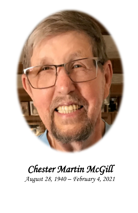

# *Chester Martin McGill August 28, 1940 – February 4, 2021*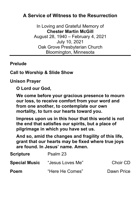### **A Service of Witness to the Resurrection**

In Loving and Grateful Memory of **Chester Martin McGill** August 28, 1940 – February 4, 2021 July 10, 2021 Oak Grove Presbyterian Church Bloomington, Minnesota

#### **Prelude**

#### **Call to Worship & Slide Show**

**Unison Prayer**

**O Lord our God,**

**We come before your gracious presence to mourn our loss, to receive comfort from your word and from one another, to contemplate our own mortality, to turn our hearts toward you.**

**Impress upon us in this hour that this world is not the end that satisfies our spirits, but a place of pilgrimage in which you have set us.**

**And so, amid the changes and fragility of this life, grant that our hearts may be fixed where true joys are found. In Jesus' name. Amen.**

| <b>Scripture</b>     | Psalm 23         |            |
|----------------------|------------------|------------|
| <b>Special Music</b> | "Jesus Loves Me" | Choir CD   |
| <b>Poem</b>          | "Here He Comes"  | Dawn Price |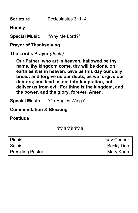**Scripture** Ecclesiastes 3: 1–4

**Homily**

**Special Music** "Why Me Lord?"

**Prayer of Thanksgiving**

**The Lord's Prayer** *(debts)*

**Our Father, who art in heaven, hallowed be thy name, thy kingdom come, thy will be done, on earth as it is in heaven. Give us this day our daily bread; and forgive us our debts, as we forgive our debtors; and lead us not into temptation, but deliver us from evil. For thine is the kingdom, and the power, and the glory, forever. Amen.**

**Special Music** "On Eagles Wings"

**Commendation & Blessing**

**Postlude**

\*\*\*\*\*\*\*\*